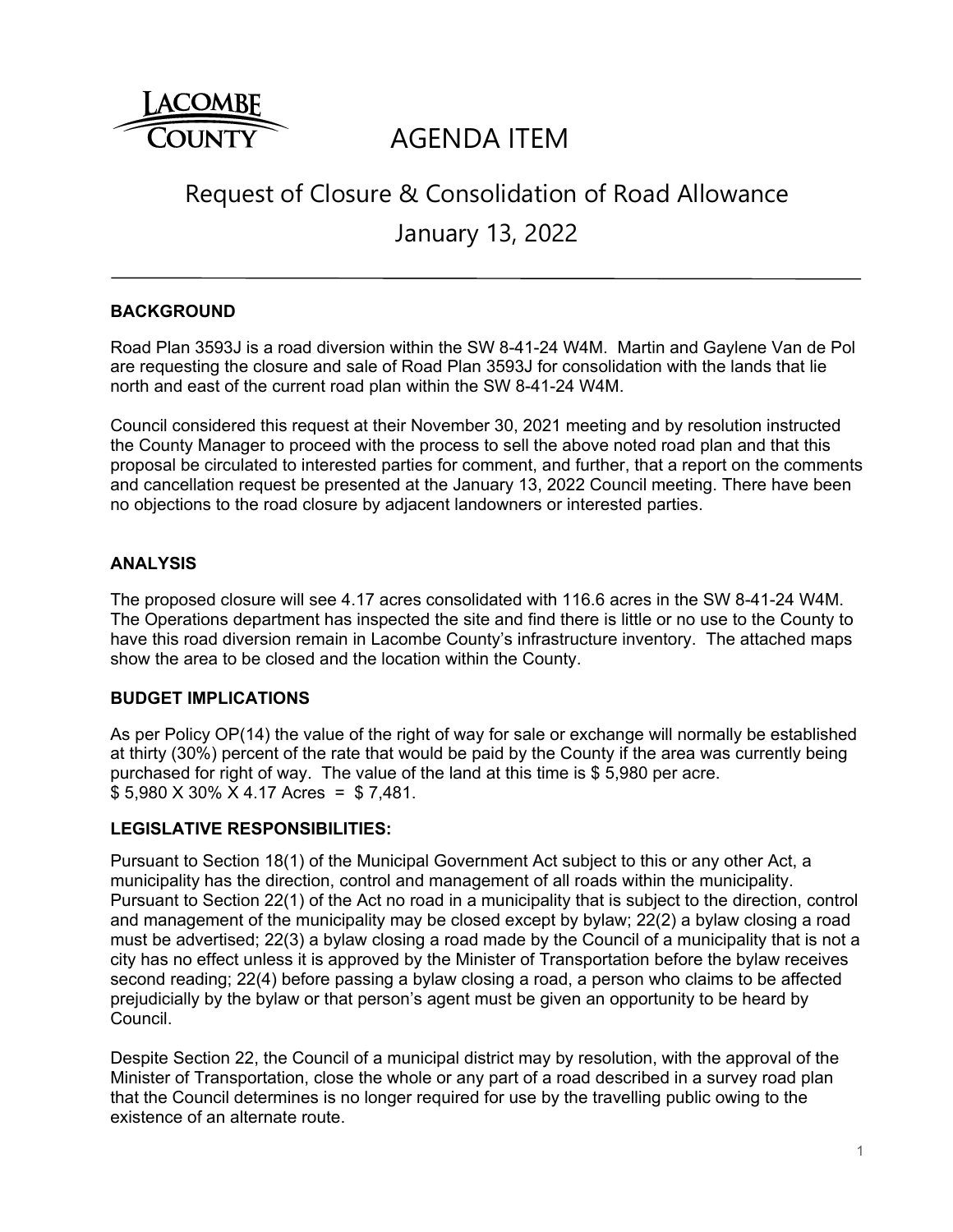

# AGENDA ITEM

# Request of Closure & Consolidation of Road Allowance

January 13, 2022

## **BACKGROUND**

Road Plan 3593J is a road diversion within the SW 8-41-24 W4M. Martin and Gaylene Van de Pol are requesting the closure and sale of Road Plan 3593J for consolidation with the lands that lie north and east of the current road plan within the SW 8-41-24 W4M.

Council considered this request at their November 30, 2021 meeting and by resolution instructed the County Manager to proceed with the process to sell the above noted road plan and that this proposal be circulated to interested parties for comment, and further, that a report on the comments and cancellation request be presented at the January 13, 2022 Council meeting. There have been no objections to the road closure by adjacent landowners or interested parties.

## **ANALYSIS**

The proposed closure will see 4.17 acres consolidated with 116.6 acres in the SW 8-41-24 W4M. The Operations department has inspected the site and find there is little or no use to the County to have this road diversion remain in Lacombe County's infrastructure inventory. The attached maps show the area to be closed and the location within the County.

### **BUDGET IMPLICATIONS**

As per Policy OP(14) the value of the right of way for sale or exchange will normally be established at thirty (30%) percent of the rate that would be paid by the County if the area was currently being purchased for right of way. The value of the land at this time is \$ 5,980 per acre. \$ 5,980 X 30% X 4.17 Acres = \$ 7,481.

### **LEGISLATIVE RESPONSIBILITIES:**

Pursuant to Section 18(1) of the Municipal Government Act subject to this or any other Act, a municipality has the direction, control and management of all roads within the municipality. Pursuant to Section 22(1) of the Act no road in a municipality that is subject to the direction, control and management of the municipality may be closed except by bylaw; 22(2) a bylaw closing a road must be advertised; 22(3) a bylaw closing a road made by the Council of a municipality that is not a city has no effect unless it is approved by the Minister of Transportation before the bylaw receives second reading; 22(4) before passing a bylaw closing a road, a person who claims to be affected prejudicially by the bylaw or that person's agent must be given an opportunity to be heard by Council.

Despite Section 22, the Council of a municipal district may by resolution, with the approval of the Minister of Transportation, close the whole or any part of a road described in a survey road plan that the Council determines is no longer required for use by the travelling public owing to the existence of an alternate route.